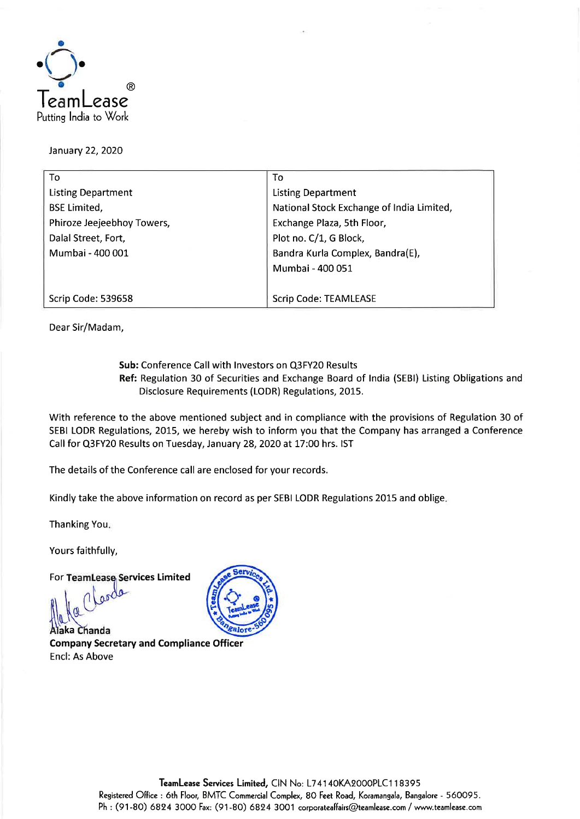

January 22, 2020

| To                         | To                                        |  |
|----------------------------|-------------------------------------------|--|
| <b>Listing Department</b>  | <b>Listing Department</b>                 |  |
| <b>BSE Limited,</b>        | National Stock Exchange of India Limited, |  |
| Phiroze Jeejeebhoy Towers, | Exchange Plaza, 5th Floor,                |  |
| Dalal Street, Fort,        | Plot no. C/1, G Block,                    |  |
| Mumbai - 400 001           | Bandra Kurla Complex, Bandra(E),          |  |
|                            | Mumbai - 400 051                          |  |
|                            |                                           |  |
| Scrip Code: 539658         | <b>Scrip Code: TEAMLEASE</b>              |  |

Dear Sir/Madam,

**Sub:** Conference Call with Investors on Q3FY20 Results **Ref:** Regulation 30 of Securities and Exchange Board of India (SEBI) Listing Obligations and Disclosure Requirements (LODR) Regulations, 2015.

With reference to the above mentioned subject and in compliance with the provisions of Regulation 30 of SEBI LODR Regulations, 2015, we hereby wish to inform you that the Company has arranged a Conference Call for Q3FY20 Results on Tuesday, January 28, 2020 at 17:00 hrs. 1ST

The details of the Conference call are enclosed for your records.

Kindly take the above information on record as per SEBI LODR Regulations 2015 and oblige.

Thanking You.

Yours faithfully,

**For TeamLease Services Limited** <sub>Q</sub>

**Alaka Chanda Company Secretary and Compliance Officer**  Encl: As Above